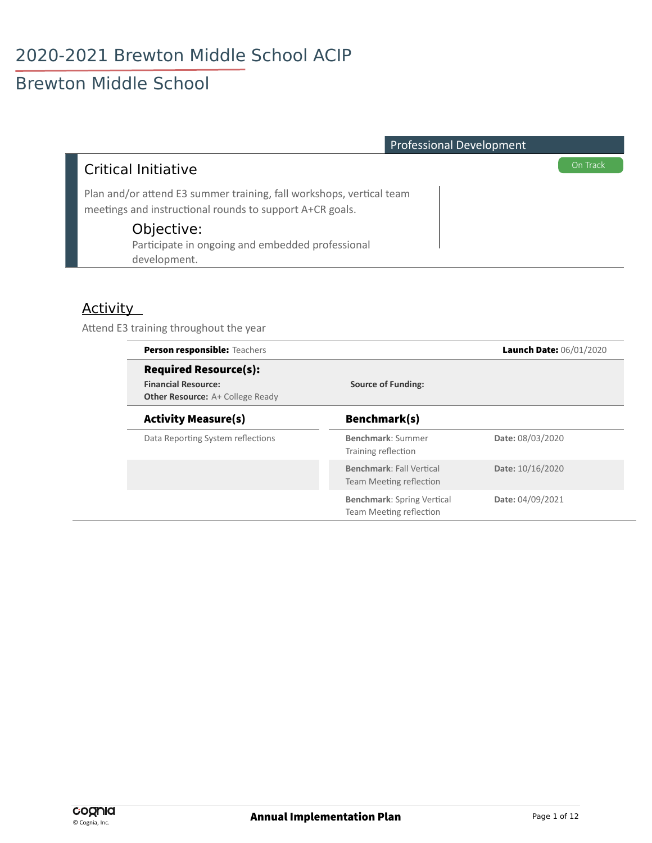| <b>Professional Development</b>                                                                                                  |          |
|----------------------------------------------------------------------------------------------------------------------------------|----------|
| <b>Critical Initiative</b>                                                                                                       | On Track |
| Plan and/or attend E3 summer training, fall workshops, vertical team<br>meetings and instructional rounds to support A+CR goals. |          |
| Objective:<br>Participate in ongoing and embedded professional<br>development.                                                   |          |

#### **Activity**

Attend E3 training throughout the year

| Person responsible: Teachers                                                                          |                                                              | Launch Date: 06/01/2020 |  |
|-------------------------------------------------------------------------------------------------------|--------------------------------------------------------------|-------------------------|--|
| <b>Required Resource(s):</b><br><b>Financial Resource:</b><br><b>Other Resource:</b> A+ College Ready | <b>Source of Funding:</b>                                    |                         |  |
| <b>Activity Measure(s)</b>                                                                            | Benchmark(s)                                                 |                         |  |
| Data Reporting System reflections                                                                     | Benchmark: Summer<br>Training reflection                     | Date: 08/03/2020        |  |
|                                                                                                       | <b>Benchmark: Fall Vertical</b><br>Team Meeting reflection   | Date: 10/16/2020        |  |
|                                                                                                       | <b>Benchmark: Spring Vertical</b><br>Team Meeting reflection | Date: 04/09/2021        |  |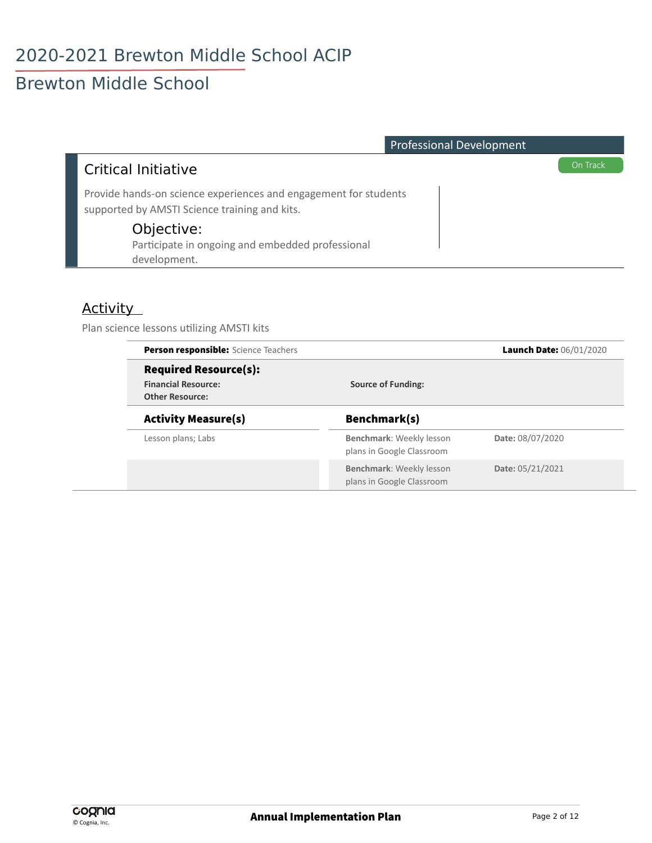| <b>Professional Development</b>                                                                                   |          |
|-------------------------------------------------------------------------------------------------------------------|----------|
| <b>Critical Initiative</b>                                                                                        | On Track |
| Provide hands-on science experiences and engagement for students<br>supported by AMSTI Science training and kits. |          |
| Objective:<br>Participate in ongoing and embedded professional<br>development.                                    |          |

#### Activity

Plan science lessons utilizing AMSTI kits

| <b>Person responsible:</b> Science Teachers                                          |                                                              | Launch Date: 06/01/2020 |  |
|--------------------------------------------------------------------------------------|--------------------------------------------------------------|-------------------------|--|
| <b>Required Resource(s):</b><br><b>Financial Resource:</b><br><b>Other Resource:</b> | <b>Source of Funding:</b>                                    |                         |  |
| <b>Activity Measure(s)</b>                                                           | Benchmark(s)                                                 |                         |  |
| Lesson plans; Labs                                                                   | Benchmark: Weekly lesson<br>plans in Google Classroom        | Date: 08/07/2020        |  |
|                                                                                      | <b>Benchmark: Weekly lesson</b><br>plans in Google Classroom | Date: 05/21/2021        |  |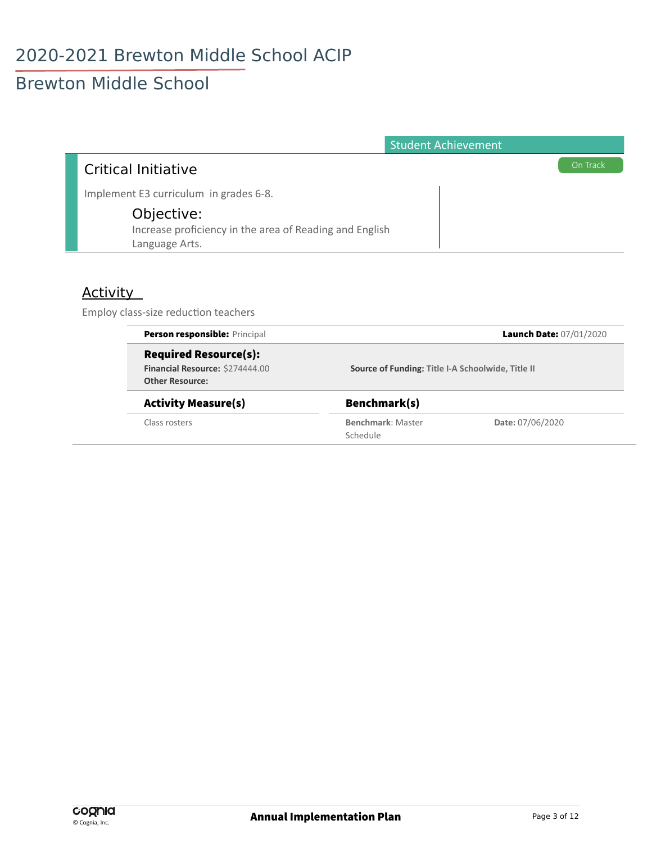### **Brewton Middle School**

| <b>Student Achievement</b>                              |          |
|---------------------------------------------------------|----------|
| Critical Initiative                                     | On Track |
| Implement E3 curriculum in grades 6-8.                  |          |
| Objective:                                              |          |
| Increase proficiency in the area of Reading and English |          |
| Language Arts.                                          |          |

#### **Activity**

Employ class-size reduction teachers

| Person responsible: Principal   |                                                   | Launch Date: 07/01/2020 |
|---------------------------------|---------------------------------------------------|-------------------------|
| <b>Required Resource(s):</b>    | Source of Funding: Title I-A Schoolwide, Title II |                         |
| Financial Resource: \$274444.00 |                                                   |                         |
| <b>Other Resource:</b>          |                                                   |                         |
| <b>Activity Measure(s)</b>      | Benchmark(s)                                      |                         |
| Class rosters                   | Benchmark: Master                                 | Date: 07/06/2020        |
|                                 | Schedule                                          |                         |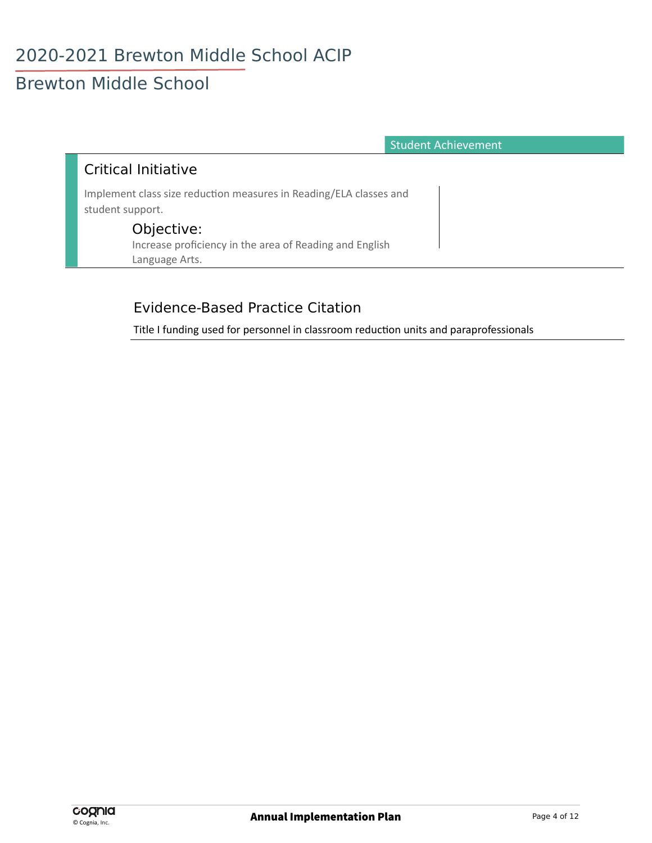**Student Achievement** 

#### **Critical Initiative**

Implement class size reduction measures in Reading/ELA classes and student support.

#### Objective:

Increase proficiency in the area of Reading and English Language Arts.

#### **Evidence-Based Practice Citation**

Title I funding used for personnel in classroom reduction units and paraprofessionals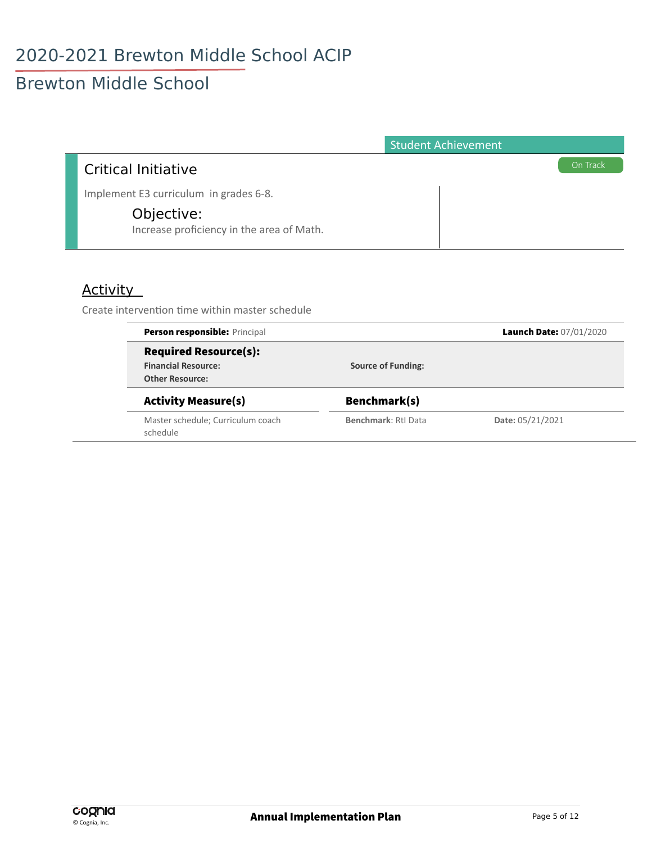# Brewton Middle School

|                                                         | <b>Student Achievement</b> |          |
|---------------------------------------------------------|----------------------------|----------|
| <b>Critical Initiative</b>                              |                            | On Track |
| Implement E3 curriculum in grades 6-8.                  |                            |          |
| Objective:<br>Increase proficiency in the area of Math. |                            |          |

#### Activity

Create intervention time within master schedule

| <b>Person responsible: Principal</b>          |                           | Launch Date: 07/01/2020 |
|-----------------------------------------------|---------------------------|-------------------------|
| <b>Required Resource(s):</b>                  |                           |                         |
| <b>Financial Resource:</b>                    | <b>Source of Funding:</b> |                         |
| <b>Other Resource:</b>                        |                           |                         |
| <b>Activity Measure(s)</b>                    | Benchmark(s)              |                         |
| Master schedule; Curriculum coach<br>schedule | Benchmark: RtI Data       | Date: 05/21/2021        |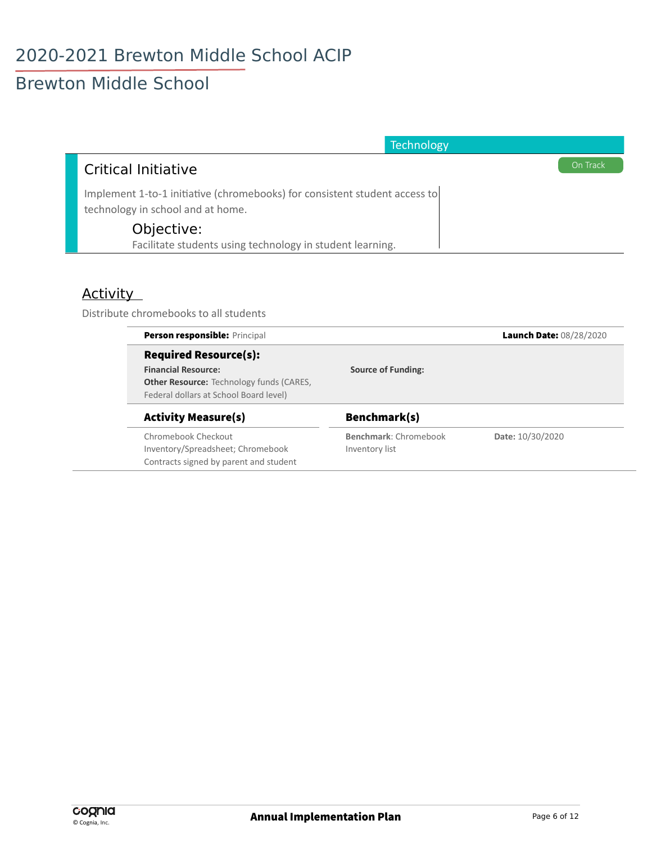# **Brewton Middle School**

| Technology                                                                                                      |
|-----------------------------------------------------------------------------------------------------------------|
| On Track<br>Critical Initiative                                                                                 |
| Implement 1-to-1 initiative (chromebooks) for consistent student access to<br>technology in school and at home. |
| Objective:                                                                                                      |
| Facilitate students using technology in student learning.                                                       |

#### **Activity**

Distribute chromebooks to all students

| <b>Person responsible: Principal</b>            |                           | Launch Date: 08/28/2020 |
|-------------------------------------------------|---------------------------|-------------------------|
| <b>Required Resource(s):</b>                    |                           |                         |
| <b>Financial Resource:</b>                      | <b>Source of Funding:</b> |                         |
| <b>Other Resource:</b> Technology funds (CARES, |                           |                         |
| Federal dollars at School Board level)          |                           |                         |
| <b>Activity Measure(s)</b>                      | Benchmark(s)              |                         |
| Chromebook Checkout                             | Benchmark: Chromebook     | Date: 10/30/2020        |
| Inventory/Spreadsheet; Chromebook               | Inventory list            |                         |
| Contracts signed by parent and student          |                           |                         |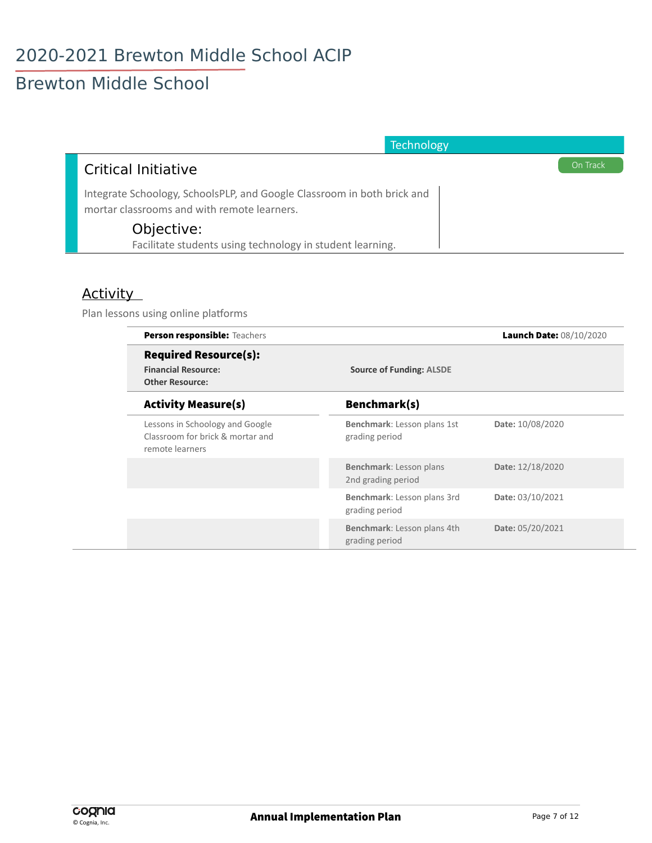# Brewton Middle School

| <b>Technology</b>                                                                                                      |
|------------------------------------------------------------------------------------------------------------------------|
| On Track<br><b>Critical Initiative</b>                                                                                 |
| Integrate Schoology, SchoolsPLP, and Google Classroom in both brick and<br>mortar classrooms and with remote learners. |
| Objective:                                                                                                             |
| Facilitate students using technology in student learning.                                                              |

#### Activity

Plan lessons using online platforms

| Person responsible: Teachers                                                           |                                               | Launch Date: 08/10/2020 |
|----------------------------------------------------------------------------------------|-----------------------------------------------|-------------------------|
| <b>Required Resource(s):</b><br><b>Financial Resource:</b><br><b>Other Resource:</b>   | <b>Source of Funding: ALSDE</b>               |                         |
| <b>Activity Measure(s)</b>                                                             | Benchmark(s)                                  |                         |
| Lessons in Schoology and Google<br>Classroom for brick & mortar and<br>remote learners | Benchmark: Lesson plans 1st<br>grading period | Date: 10/08/2020        |
|                                                                                        | Benchmark: Lesson plans<br>2nd grading period | Date: 12/18/2020        |
|                                                                                        | Benchmark: Lesson plans 3rd<br>grading period | Date: 03/10/2021        |
|                                                                                        | Benchmark: Lesson plans 4th<br>grading period | Date: 05/20/2021        |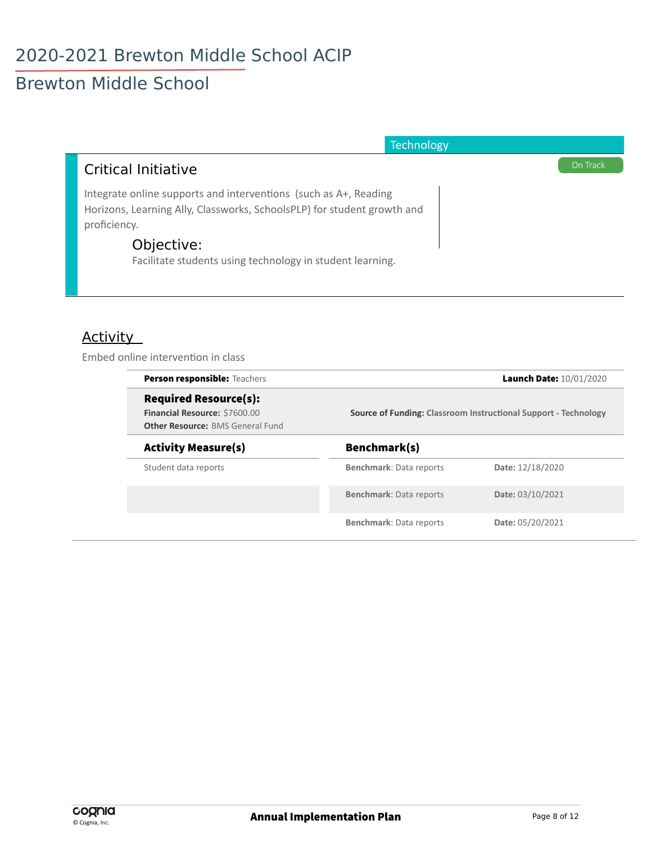## Brewton Middle School

| <b>Technology</b>                                                                                                                                           |
|-------------------------------------------------------------------------------------------------------------------------------------------------------------|
| On Track<br>Critical Initiative                                                                                                                             |
| Integrate online supports and interventions (such as A+, Reading<br>Horizons, Learning Ally, Classworks, SchoolsPLP) for student growth and<br>proficiency. |
| Objective:<br>Facilitate students using technology in student learning.                                                                                     |

#### Activity

Embed online intervention in class

| <b>Person responsible: Teachers</b>                                                                      | Launch Date: 10/01/2020<br><b>Source of Funding: Classroom Instructional Support - Technology</b> |                  |
|----------------------------------------------------------------------------------------------------------|---------------------------------------------------------------------------------------------------|------------------|
| <b>Required Resource(s):</b><br>Financial Resource: \$7600.00<br><b>Other Resource: BMS General Fund</b> |                                                                                                   |                  |
| <b>Activity Measure(s)</b>                                                                               | Benchmark(s)                                                                                      |                  |
| Student data reports                                                                                     | <b>Benchmark: Data reports</b>                                                                    | Date: 12/18/2020 |
|                                                                                                          | <b>Benchmark: Data reports</b>                                                                    | Date: 03/10/2021 |
|                                                                                                          | <b>Benchmark: Data reports</b>                                                                    | Date: 05/20/2021 |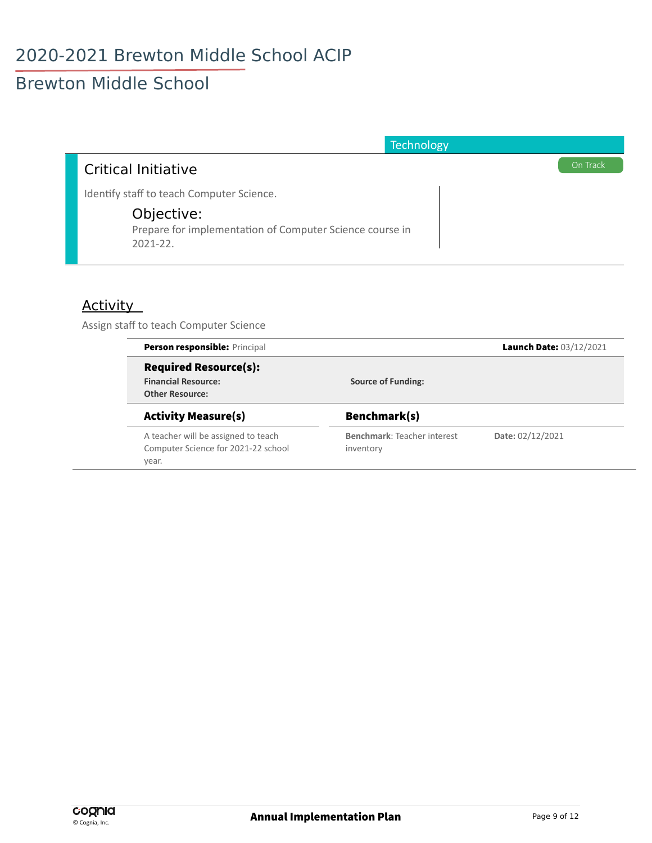### Brewton Middle School

| Technology                                                                              |          |
|-----------------------------------------------------------------------------------------|----------|
| Critical Initiative                                                                     | On Track |
| Identify staff to teach Computer Science.                                               |          |
| Objective:<br>Prepare for implementation of Computer Science course in<br>$2021 - 22$ . |          |

#### **Activity**

Assign staff to teach Computer Science

| Person responsible: Principal       |                             | Launch Date: 03/12/2021 |
|-------------------------------------|-----------------------------|-------------------------|
| <b>Required Resource(s):</b>        |                             |                         |
| <b>Financial Resource:</b>          | <b>Source of Funding:</b>   |                         |
| <b>Other Resource:</b>              |                             |                         |
| <b>Activity Measure(s)</b>          | Benchmark(s)                |                         |
| A teacher will be assigned to teach | Benchmark: Teacher interest | Date: 02/12/2021        |
| Computer Science for 2021-22 school | inventory                   |                         |
| year.                               |                             |                         |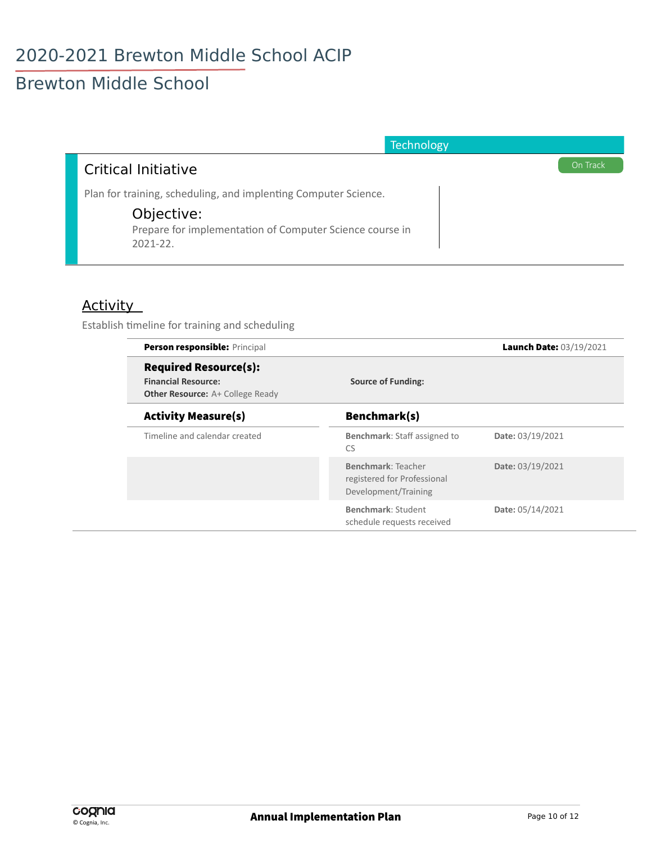### Brewton Middle School

| <b>Technology</b>                                                                                                                                          |          |
|------------------------------------------------------------------------------------------------------------------------------------------------------------|----------|
| Critical Initiative                                                                                                                                        | On Track |
| Plan for training, scheduling, and implenting Computer Science.<br>Objective:<br>Prepare for implementation of Computer Science course in<br>$2021 - 22$ . |          |

#### Activity

Establish timeline for training and scheduling

| Person responsible: Principal                                                                         |                                                                           | Launch Date: 03/19/2021 |
|-------------------------------------------------------------------------------------------------------|---------------------------------------------------------------------------|-------------------------|
| <b>Required Resource(s):</b><br><b>Financial Resource:</b><br><b>Other Resource:</b> A+ College Ready | <b>Source of Funding:</b>                                                 |                         |
| <b>Activity Measure(s)</b>                                                                            | Benchmark(s)                                                              |                         |
| Timeline and calendar created                                                                         | Benchmark: Staff assigned to<br>CS                                        | Date: 03/19/2021        |
|                                                                                                       | Benchmark: Teacher<br>registered for Professional<br>Development/Training | Date: 03/19/2021        |
|                                                                                                       | Benchmark: Student<br>schedule requests received                          | Date: 05/14/2021        |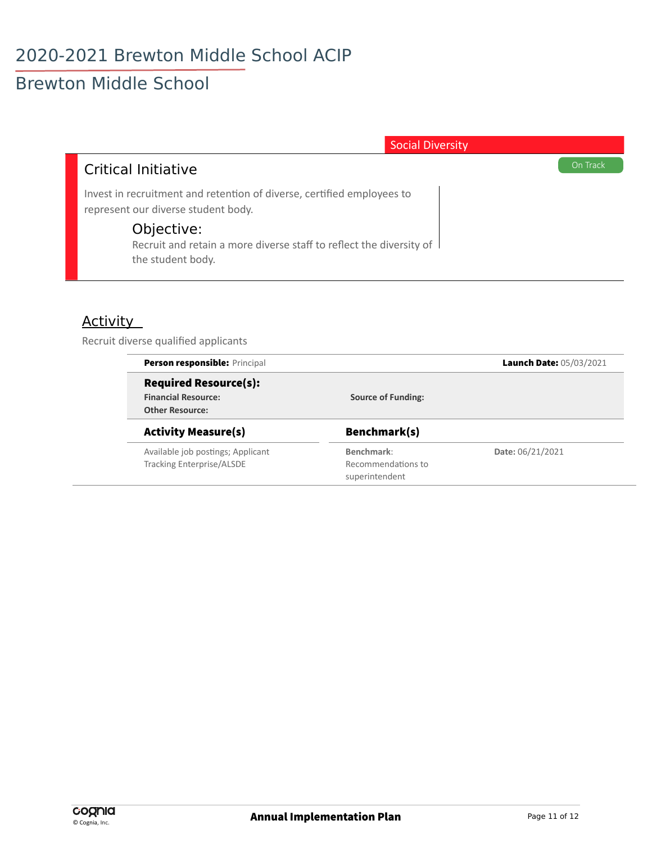| <b>Social Diversity</b>                                                                                       |          |
|---------------------------------------------------------------------------------------------------------------|----------|
| Critical Initiative                                                                                           | On Track |
| Invest in recruitment and retention of diverse, certified employees to<br>represent our diverse student body. |          |
| Objective:<br>Recruit and retain a more diverse staff to reflect the diversity of<br>the student body.        |          |

#### **Activity**

Recruit diverse qualified applicants

|                           | Launch Date: 05/03/2021 |
|---------------------------|-------------------------|
|                           |                         |
| <b>Source of Funding:</b> |                         |
|                           |                         |
| Benchmark(s)              |                         |
| Benchmark:                | Date: 06/21/2021        |
| Recommendations to        |                         |
| superintendent            |                         |
|                           |                         |